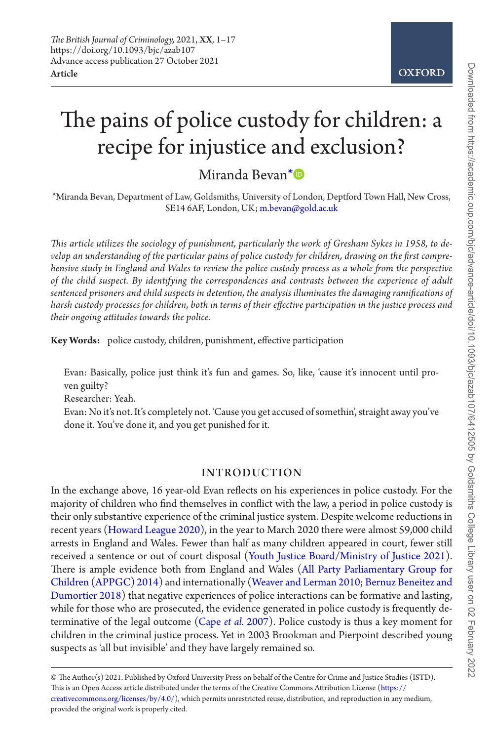# The pains of police custody for children: a recipe for injustice and exclusion?

Miranda Bevan[\\*](#page-0-0)

<span id="page-0-0"></span>\*Miranda Bevan, Department of Law, Goldsmiths, University of London, Deptford Town Hall, New Cross, SE14 6AF, London, UK; [m.bevan@gold.ac.uk](mailto:m.bevan@gold.ac.uk?subject=)

*This article utilizes the sociology of punishment, particularly the work of Gresham Sykes in 1958, to develop an understanding of the particular pains of police custody for children, drawing on the first comprehensive study in England and Wales to review the police custody process as a whole from the perspective of the child suspect. By identifying the correspondences and contrasts between the experience of adult sentenced prisoners and child suspects in detention, the analysis illuminates the damaging ramifications of harsh custody processes for children, both in terms of their effective participation in the justice process and their ongoing attitudes towards the police.*

**Key Words:** police custody, children, punishment, effective participation

Evan: Basically, police just think it's fun and games. So, like, 'cause it's innocent until proven guilty?

Researcher: Yeah.

Evan: No it's not. It's completely not. 'Cause you get accused of somethin', straight away you've done it. You've done it, and you get punished for it.

## INTRODUCTION

In the exchange above, 16 year-old Evan reflects on his experiences in police custody. For the majority of children who find themselves in conflict with the law, a period in police custody is their only substantive experience of the criminal justice system. Despite welcome reductions in recent years ([Howard League 2020](#page-15-0)), in the year to March 2020 there were almost 59,000 child arrests in England and Wales. Fewer than half as many children appeared in court, fewer still received a sentence or out of court disposal ([Youth Justice Board/Ministry of Justice 2021](#page-16-0)). There is ample evidence both from England and Wales [\(All Party Parliamentary Group for](#page-14-0) [Children \(APPGC\) 2014](#page-14-0)) and internationally ([Weaver and Lerman 2010;](#page-16-1) [Bernuz Beneitez and](#page-14-1) [Dumortier 2018\)](#page-14-1) that negative experiences of police interactions can be formative and lasting, while for those who are prosecuted, the evidence generated in police custody is frequently determinative of the legal outcome (Cape *et al.* [2007\)](#page-14-2). Police custody is thus a key moment for children in the criminal justice process. Yet in 2003 Brookman and Pierpoint described young suspects as 'all but invisible' and they have largely remained so.

**OXFORD** 

<sup>©</sup> The Author(s) 2021. Published by Oxford University Press on behalf of the Centre for Crime and Justice Studies (ISTD). This is an Open Access article distributed under the terms of the Creative Commons Attribution License [\(https://](https://creativecommons.org/licenses/by/4.0/) [creativecommons.org/licenses/by/4.0/](https://creativecommons.org/licenses/by/4.0/)), which permits unrestricted reuse, distribution, and reproduction in any medium, provided the original work is properly cited.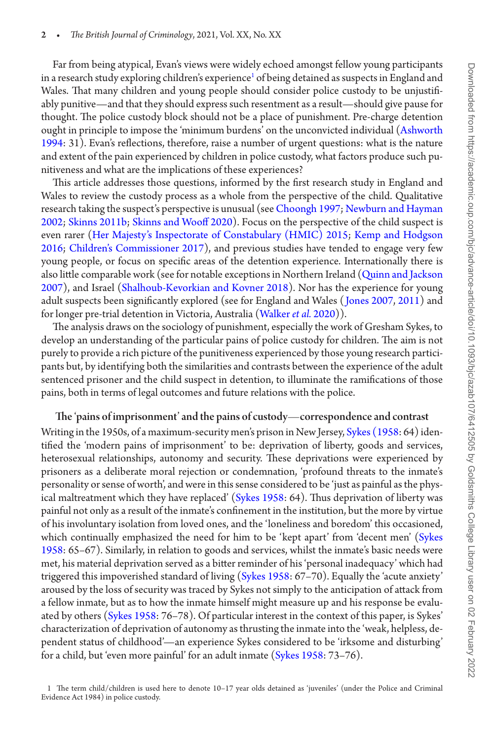Far from being atypical, Evan's views were widely echoed amongst fellow young participants in a research study exploring children's experience<sup>1</sup> of being detained as suspects in England and Wales. That many children and young people should consider police custody to be unjustifiably punitive—and that they should express such resentment as a result—should give pause for thought. The police custody block should not be a place of punishment. Pre-charge detention ought in principle to impose the 'minimum burdens' on the unconvicted individual ([Ashworth](#page-14-3)  [1994](#page-14-3): 31). Evan's reflections, therefore, raise a number of urgent questions: what is the nature and extent of the pain experienced by children in police custody, what factors produce such punitiveness and what are the implications of these experiences?

This article addresses those questions, informed by the first research study in England and Wales to review the custody process as a whole from the perspective of the child. Qualitative research taking the suspect's perspective is unusual (see [Choongh 1997](#page-14-4); [Newburn and Hayman](#page-15-1)  [2002](#page-15-1); [Skinns 2011b;](#page-16-2) [Skinns and Wooff 2020](#page-16-3)). Focus on the perspective of the child suspect is even rarer ([Her Majesty's Inspectorate of Constabulary \(HMIC\) 2015;](#page-15-2) [Kemp and Hodgson](#page-15-3)  [2016](#page-15-3); [Children's Commissioner 2017\)](#page-16-4), and previous studies have tended to engage very few young people, or focus on specific areas of the detention experience. Internationally there is also little comparable work (see for notable exceptions in Northern Ireland [\(Quinn and Jackson](#page-16-5)  [2007](#page-16-5)), and Israel [\(Shalhoub-Kevorkian and Kovner 2018](#page-16-6)). Nor has the experience for young adult suspects been significantly explored (see for England and Wales ([Jones 2007](#page-15-4), [2011](#page-15-5)) and for longer pre-trial detention in Victoria, Australia ([Walker](#page-16-7) *et al.* 2020)).

The analysis draws on the sociology of punishment, especially the work of Gresham Sykes, to develop an understanding of the particular pains of police custody for children. The aim is not purely to provide a rich picture of the punitiveness experienced by those young research participants but, by identifying both the similarities and contrasts between the experience of the adult sentenced prisoner and the child suspect in detention, to illuminate the ramifications of those pains, both in terms of legal outcomes and future relations with the police.

## The 'pains of imprisonment' and the pains of custody—correspondence and contrast

Writing in the 1950s, of a maximum-security men's prison in New Jersey, [Sykes \(1958](#page-16-8): 64) identified the 'modern pains of imprisonment' to be: deprivation of liberty, goods and services, heterosexual relationships, autonomy and security. These deprivations were experienced by prisoners as a deliberate moral rejection or condemnation, 'profound threats to the inmate's personality or sense of worth', and were in this sense considered to be 'just as painful as the phys-ical maltreatment which they have replaced' [\(Sykes 1958](#page-16-8): 64). Thus deprivation of liberty was painful not only as a result of the inmate's confinement in the institution, but the more by virtue of his involuntary isolation from loved ones, and the 'loneliness and boredom' this occasioned, which continually emphasized the need for him to be 'kept apart' from 'decent men' [\(Sykes](#page-16-8)  [1958](#page-16-8): 65–67). Similarly, in relation to goods and services, whilst the inmate's basic needs were met, his material deprivation served as a bitter reminder of his 'personal inadequacy' which had triggered this impoverished standard of living [\(Sykes 1958](#page-16-8): 67-70). Equally the 'acute anxiety' aroused by the loss of security was traced by Sykes not simply to the anticipation of attack from a fellow inmate, but as to how the inmate himself might measure up and his response be evaluated by others ([Sykes 1958:](#page-16-8) 76–78). Of particular interest in the context of this paper, is Sykes' characterization of deprivation of autonomy as thrusting the inmate into the 'weak, helpless, dependent status of childhood'—an experience Sykes considered to be 'irksome and disturbing' for a child, but 'even more painful' for an adult inmate  $(Sykes\ 1958: 73–76)$ .

<span id="page-1-0"></span><sup>1</sup> The term child/children is used here to denote 10–17 year olds detained as 'juveniles' (under the Police and Criminal Evidence Act 1984) in police custody.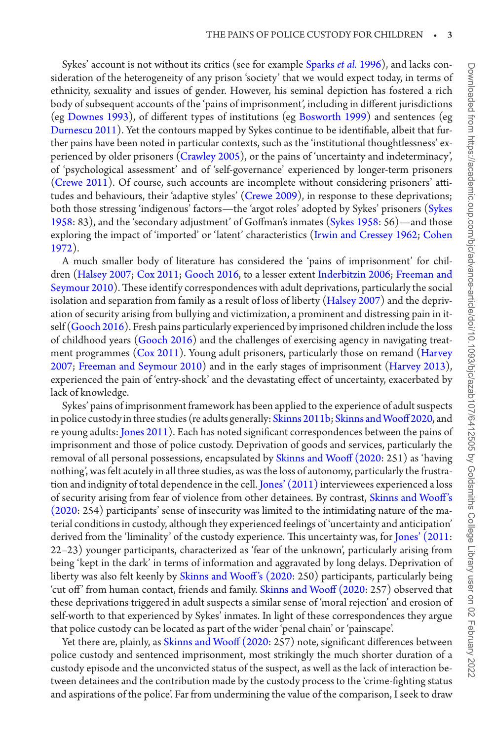Sykes' account is not without its critics (see for example [Sparks](#page-16-9) *et al.* 1996), and lacks consideration of the heterogeneity of any prison 'society' that we would expect today, in terms of ethnicity, sexuality and issues of gender. However, his seminal depiction has fostered a rich body of subsequent accounts of the 'pains of imprisonment', including in different jurisdictions (eg [Downes 1993](#page-14-5)), of different types of institutions (eg [Bosworth 1999](#page-14-6)) and sentences (eg [Durnescu 2011\)](#page-14-7). Yet the contours mapped by Sykes continue to be identifiable, albeit that further pains have been noted in particular contexts, such as the 'institutional thoughtlessness' experienced by older prisoners [\(Crawley 2005\)](#page-14-8), or the pains of 'uncertainty and indeterminacy', of 'psychological assessment' and of 'self-governance' experienced by longer-term prisoners [\(Crewe 2011\)](#page-14-9). Of course, such accounts are incomplete without considering prisoners' attitudes and behaviours, their 'adaptive styles' [\(Crewe 2009](#page-14-10)), in response to these deprivations; both those stressing 'indigenous' factors—the 'argot roles' adopted by Sykes' prisoners ([Sykes](#page-16-8) [1958:](#page-16-8) 83), and the 'secondary adjustment' of Goffman's inmates [\(Sykes 1958:](#page-16-8) 56)—and those exploring the impact of 'imported' or 'latent' characteristics [\(Irwin and Cressey 1962;](#page-15-6) [Cohen](#page-14-11) [1972\)](#page-14-11).

A much smaller body of literature has considered the 'pains of imprisonment' for children [\(Halsey 2007;](#page-15-7) [Cox 2011](#page-14-12); [Gooch 2016,](#page-14-13) to a lesser extent [Inderbitzin 2006;](#page-15-8) [Freeman and](#page-14-14) [Seymour 2010](#page-14-14)). These identify correspondences with adult deprivations, particularly the social isolation and separation from family as a result of loss of liberty ([Halsey 2007\)](#page-15-7) and the deprivation of security arising from bullying and victimization, a prominent and distressing pain in itself ([Gooch 2016](#page-14-13)). Fresh pains particularly experienced by imprisoned children include the loss of childhood years [\(Gooch 2016](#page-14-13)) and the challenges of exercising agency in navigating treatment programmes ([Cox 2011](#page-14-12)). Young adult prisoners, particularly those on remand [\(Harvey](#page-15-9) [2007;](#page-15-9) [Freeman and Seymour 2010\)](#page-14-14) and in the early stages of imprisonment ([Harvey 2013](#page-15-10)), experienced the pain of 'entry-shock' and the devastating effect of uncertainty, exacerbated by lack of knowledge.

Sykes' pains of imprisonment framework has been applied to the experience of adult suspects in police custody in three studies (re adults generally: [Skinns 2011b](#page-16-2); [Skinns and Wooff 2020,](#page-16-3) and re young adults: [Jones 2011\)](#page-15-5). Each has noted significant correspondences between the pains of imprisonment and those of police custody. Deprivation of goods and services, particularly the removal of all personal possessions, encapsulated by [Skinns and Wooff \(2020](#page-16-3): 251) as 'having nothing', was felt acutely in all three studies, as was the loss of autonomy, particularly the frustration and indignity of total dependence in the cell. [Jones' \(2011\)](#page-15-5) interviewees experienced a loss of security arising from fear of violence from other detainees. By contrast, [Skinns and Wooff 's](#page-16-3) [\(2020](#page-16-3): 254) participants' sense of insecurity was limited to the intimidating nature of the material conditions in custody, although they experienced feelings of 'uncertainty and anticipation' derived from the 'liminality' of the custody experience. This uncertainty was, for [Jones' \(2011:](#page-15-5) 22–23) younger participants, characterized as 'fear of the unknown', particularly arising from being 'kept in the dark' in terms of information and aggravated by long delays. Deprivation of liberty was also felt keenly by Skinns and Wooff's (2020: 250) participants, particularly being 'cut off ' from human contact, friends and family. [Skinns and Wooff \(2020:](#page-16-3) 257) observed that these deprivations triggered in adult suspects a similar sense of 'moral rejection' and erosion of self-worth to that experienced by Sykes' inmates. In light of these correspondences they argue that police custody can be located as part of the wider 'penal chain' or 'painscape'.

Yet there are, plainly, as [Skinns and Wooff \(2020](#page-16-3): 257) note, significant differences between police custody and sentenced imprisonment, most strikingly the much shorter duration of a custody episode and the unconvicted status of the suspect, as well as the lack of interaction between detainees and the contribution made by the custody process to the 'crime-fighting status and aspirations of the police'. Far from undermining the value of the comparison, I seek to draw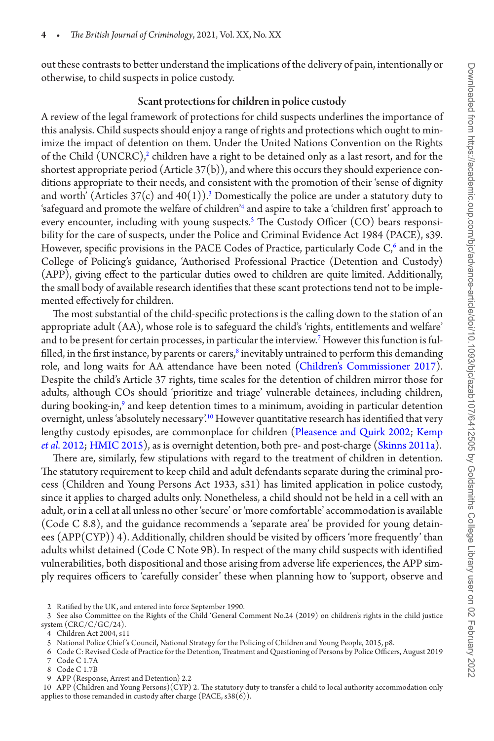out these contrasts to better understand the implications of the delivery of pain, intentionally or otherwise, to child suspects in police custody.

## Scant protections for children in police custody

A review of the legal framework of protections for child suspects underlines the importance of this analysis. Child suspects should enjoy a range of rights and protections which ought to minimize the impact of detention on them. Under the United Nations Convention on the Rights of the Child  $(\mathrm{UNERC})^2$  $(\mathrm{UNERC})^2$  children have a right to be detained only as a last resort, and for the shortest appropriate period (Article  $37(b)$ ), and where this occurs they should experience conditions appropriate to their needs, and consistent with the promotion of their 'sense of dignity and worth' (Articles [3](#page-3-1)7(c) and 40(1)).<sup>3</sup> Domestically the police are under a statutory duty to 'safeguard and promote the welfare of children['4](#page-3-2) and aspire to take a 'children first' approach to every encounter, including with young suspects.[5](#page-3-3) The Custody Officer (CO) bears responsibility for the care of suspects, under the Police and Criminal Evidence Act 1984 (PACE), s39. However, specific provisions in the PACE Codes of Practice, particularly Code  $C<sub>0</sub>$  and in the College of Policing's guidance, 'Authorised Professional Practice (Detention and Custody) (APP), giving effect to the particular duties owed to children are quite limited. Additionally, the small body of available research identifies that these scant protections tend not to be implemented effectively for children.

The most substantial of the child-specific protections is the calling down to the station of an appropriate adult (AA), whose role is to safeguard the child's 'rights, entitlements and welfare' and to be present for certain processes, in particular the interview.<sup>7</sup> However this function is fulfilled, in the first instance, by parents or carers, $^8$  inevitably untrained to perform this demanding role, and long waits for AA attendance have been noted [\(Children's Commissioner 2017\)](#page-16-4). Despite the child's Article 37 rights, time scales for the detention of children mirror those for adults, although COs should 'prioritize and triage' vulnerable detainees, including children, during booking-in,<sup>9</sup> and keep detention times to a minimum, avoiding in particular detention overnight, unless 'absolutely necessary'.<sup>10</sup> However quantitative research has identified that very lengthy custody episodes, are commonplace for children [\(Pleasence and Quirk 2002;](#page-16-10) [Kemp](#page-15-11)  *et al.* [2012](#page-15-11); [HMIC 2015](#page-15-2)), as is overnight detention, both pre- and post-charge ([Skinns 2011a\)](#page-16-11).

There are, similarly, few stipulations with regard to the treatment of children in detention. The statutory requirement to keep child and adult defendants separate during the criminal process (Children and Young Persons Act 1933, s31) has limited application in police custody, since it applies to charged adults only. Nonetheless, a child should not be held in a cell with an adult, or in a cell at all unless no other 'secure' or 'more comfortable' accommodation is available (Code C 8.8), and the guidance recommends a 'separate area' be provided for young detainees (APP(CYP)) 4). Additionally, children should be visited by officers 'more frequently' than adults whilst detained (Code C Note 9B). In respect of the many child suspects with identified vulnerabilities, both dispositional and those arising from adverse life experiences, the APP simply requires officers to 'carefully consider' these when planning how to 'support, observe and

- <span id="page-3-0"></span>2 Ratified by the UK, and entered into force September 1990.
- <span id="page-3-1"></span>3 See also Committee on the Rights of the Child 'General Comment No.24 (2019) on children's rights in the child justice system (CRC/C/GC/24).
- <span id="page-3-2"></span>4 Children Act 2004, s11

- <span id="page-3-4"></span>6 Code C: Revised Code of Practice for the Detention, Treatment and Questioning of Persons by Police Officers, August 2019
- <span id="page-3-5"></span>7 Code C 1.7A
- <span id="page-3-6"></span>8 Code C 1.7B
- <span id="page-3-7"></span>9 APP (Response, Arrest and Detention) 2.2

<span id="page-3-8"></span>10 APP (Children and Young Persons)(CYP) 2. The statutory duty to transfer a child to local authority accommodation only applies to those remanded in custody after charge (PACE, s38(6)).

<span id="page-3-3"></span><sup>5</sup> National Police Chief 's Council, National Strategy for the Policing of Children and Young People, 2015, p8.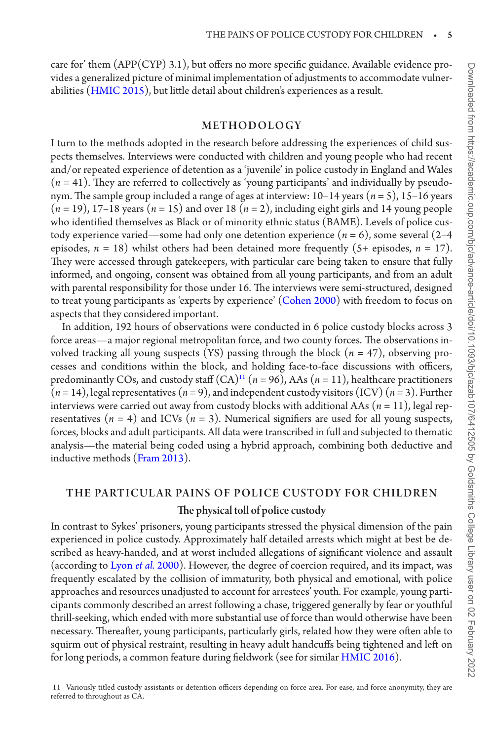care for' them (APP(CYP) 3.1), but offers no more specific guidance. Available evidence provides a generalized picture of minimal implementation of adjustments to accommodate vulnerabilities [\(HMIC 2015](#page-15-2)), but little detail about children's experiences as a result.

#### METHODOLOGY

I turn to the methods adopted in the research before addressing the experiences of child suspects themselves. Interviews were conducted with children and young people who had recent and/or repeated experience of detention as a 'juvenile' in police custody in England and Wales  $(n = 41)$ . They are referred to collectively as 'young participants' and individually by pseudonym. The sample group included a range of ages at interview: 10–14 years (*n* = 5), 15–16 years  $(n = 19)$ , 17–18 years  $(n = 15)$  and over 18  $(n = 2)$ , including eight girls and 14 young people who identified themselves as Black or of minority ethnic status (BAME). Levels of police custody experience varied—some had only one detention experience  $(n = 6)$ , some several  $(2-4)$ episodes,  $n = 18$ ) whilst others had been detained more frequently (5+ episodes,  $n = 17$ ). They were accessed through gatekeepers, with particular care being taken to ensure that fully informed, and ongoing, consent was obtained from all young participants, and from an adult with parental responsibility for those under 16. The interviews were semi-structured, designed to treat young participants as 'experts by experience' [\(Cohen 2000\)](#page-14-15) with freedom to focus on aspects that they considered important.

In addition, 192 hours of observations were conducted in 6 police custody blocks across 3 force areas—a major regional metropolitan force, and two county forces. The observations involved tracking all young suspects (YS) passing through the block  $(n = 47)$ , observing processes and conditions within the block, and holding face-to-face discussions with officers, predominantly COs, and custody staff  $(CA)^{11}$  ( $n = 96$ ), AAs ( $n = 11$ ), healthcare practitioners  $(n=14)$ , legal representatives  $(n=9)$ , and independent custody visitors (ICV)  $(n=3)$ . Further interviews were carried out away from custody blocks with additional AAs (*n* = 11), legal representatives  $(n = 4)$  and ICVs  $(n = 3)$ . Numerical signifiers are used for all young suspects, forces, blocks and adult participants. All data were transcribed in full and subjected to thematic analysis—the material being coded using a hybrid approach, combining both deductive and inductive methods [\(Fram 2013\)](#page-14-16).

## THE PARTICUL AR PAINS OF POLICE CUSTODY FOR CHILDREN The physical toll of police custody

In contrast to Sykes' prisoners, young participants stressed the physical dimension of the pain experienced in police custody. Approximately half detailed arrests which might at best be described as heavy-handed, and at worst included allegations of significant violence and assault (according to [Lyon](#page-15-12) *et al.* 2000). However, the degree of coercion required, and its impact, was frequently escalated by the collision of immaturity, both physical and emotional, with police approaches and resources unadjusted to account for arrestees' youth. For example, young participants commonly described an arrest following a chase, triggered generally by fear or youthful thrill-seeking, which ended with more substantial use of force than would otherwise have been necessary. Thereafter, young participants, particularly girls, related how they were often able to squirm out of physical restraint, resulting in heavy adult handcuffs being tightened and left on for long periods, a common feature during fieldwork (see for similar [HMIC 2016\)](#page-15-13).

<span id="page-4-0"></span>11 Variously titled custody assistants or detention officers depending on force area. For ease, and force anonymity, they are referred to throughout as CA.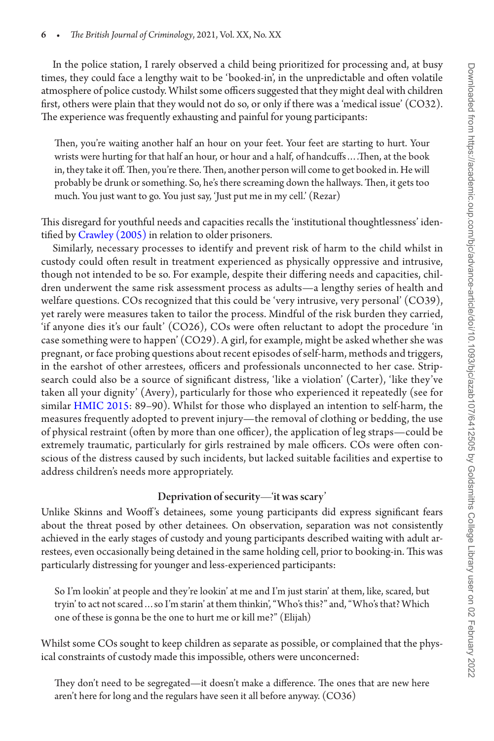In the police station, I rarely observed a child being prioritized for processing and, at busy times, they could face a lengthy wait to be 'booked-in', in the unpredictable and often volatile atmosphere of police custody. Whilst some officers suggested that they might deal with children first, others were plain that they would not do so, or only if there was a 'medical issue' (CO32). The experience was frequently exhausting and painful for young participants:

Then, you're waiting another half an hour on your feet. Your feet are starting to hurt. Your wrists were hurting for that half an hour, or hour and a half, of handcuffs….Then, at the book in, they take it off. Then, you're there. Then, another person will come to get booked in. He will probably be drunk or something. So, he's there screaming down the hallways. Then, it gets too much. You just want to go. You just say, 'Just put me in my cell.' (Rezar)

This disregard for youthful needs and capacities recalls the 'institutional thoughtlessness' iden-tified by [Crawley \(2005\)](#page-14-8) in relation to older prisoners.

Similarly, necessary processes to identify and prevent risk of harm to the child whilst in custody could often result in treatment experienced as physically oppressive and intrusive, though not intended to be so. For example, despite their differing needs and capacities, children underwent the same risk assessment process as adults—a lengthy series of health and welfare questions. COs recognized that this could be 'very intrusive, very personal' (CO39), yet rarely were measures taken to tailor the process. Mindful of the risk burden they carried, 'if anyone dies it's our fault' (CO26), COs were often reluctant to adopt the procedure 'in case something were to happen' (CO29). A girl, for example, might be asked whether she was pregnant, or face probing questions about recent episodes of self-harm, methods and triggers, in the earshot of other arrestees, officers and professionals unconnected to her case. Stripsearch could also be a source of significant distress, 'like a violation' (Carter), 'like they've taken all your dignity' (Avery), particularly for those who experienced it repeatedly (see for similar [HMIC 2015:](#page-15-2) 89–90). Whilst for those who displayed an intention to self-harm, the measures frequently adopted to prevent injury—the removal of clothing or bedding, the use of physical restraint (often by more than one officer), the application of leg straps—could be extremely traumatic, particularly for girls restrained by male officers. COs were often conscious of the distress caused by such incidents, but lacked suitable facilities and expertise to address children's needs more appropriately.

## Deprivation of security—'it was scary'

Unlike Skinns and Wooff 's detainees, some young participants did express significant fears about the threat posed by other detainees. On observation, separation was not consistently achieved in the early stages of custody and young participants described waiting with adult arrestees, even occasionally being detained in the same holding cell, prior to booking-in. This was particularly distressing for younger and less-experienced participants:

So I'm lookin' at people and they're lookin' at me and I'm just starin' at them, like, scared, but tryin' to act not scared…so I'm starin' at them thinkin', "Who's this?" and, "Who's that? Which one of these is gonna be the one to hurt me or kill me?" (Elijah)

Whilst some COs sought to keep children as separate as possible, or complained that the physical constraints of custody made this impossible, others were unconcerned:

They don't need to be segregated—it doesn't make a difference. The ones that are new here aren't here for long and the regulars have seen it all before anyway. (CO36)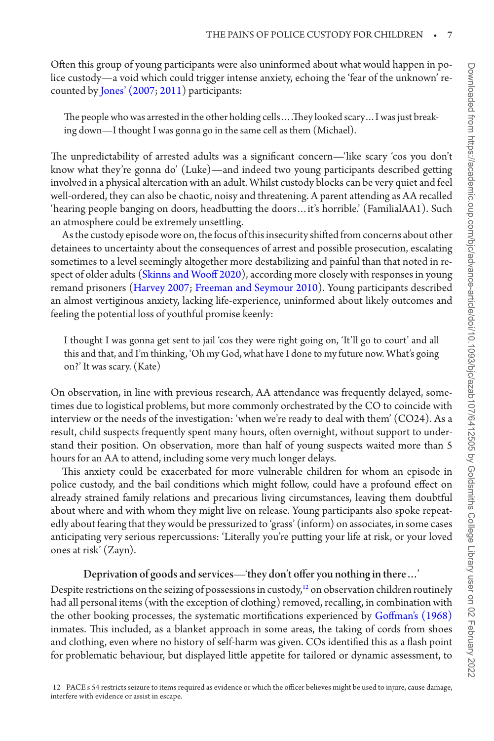Often this group of young participants were also uninformed about what would happen in police custody—a void which could trigger intense anxiety, echoing the 'fear of the unknown' recounted by [Jones' \(2007;](#page-15-4) [2011\)](#page-15-5) participants:

The people who was arrested in the other holding cells….They looked scary…I was just breaking down—I thought I was gonna go in the same cell as them (Michael).

The unpredictability of arrested adults was a significant concern—'like scary 'cos you don't know what they're gonna do' (Luke)—and indeed two young participants described getting involved in a physical altercation with an adult. Whilst custody blocks can be very quiet and feel well-ordered, they can also be chaotic, noisy and threatening. A parent attending as AA recalled 'hearing people banging on doors, headbutting the doors…it's horrible.' (FamilialAA1). Such an atmosphere could be extremely unsettling.

As the custody episode wore on, the focus of this insecurity shifted from concerns about other detainees to uncertainty about the consequences of arrest and possible prosecution, escalating sometimes to a level seemingly altogether more destabilizing and painful than that noted in respect of older adults [\(Skinns and Wooff 2020](#page-16-3)), according more closely with responses in young remand prisoners [\(Harvey 2007;](#page-15-9) [Freeman and Seymour 2010\)](#page-14-14). Young participants described an almost vertiginous anxiety, lacking life-experience, uninformed about likely outcomes and feeling the potential loss of youthful promise keenly:

I thought I was gonna get sent to jail 'cos they were right going on, 'It'll go to court' and all this and that, and I'm thinking, 'Oh my God, what have I done to my future now. What's going on?' It was scary. (Kate)

On observation, in line with previous research, AA attendance was frequently delayed, sometimes due to logistical problems, but more commonly orchestrated by the CO to coincide with interview or the needs of the investigation: 'when we're ready to deal with them' (CO24). As a result, child suspects frequently spent many hours, often overnight, without support to understand their position. On observation, more than half of young suspects waited more than 5 hours for an AA to attend, including some very much longer delays.

This anxiety could be exacerbated for more vulnerable children for whom an episode in police custody, and the bail conditions which might follow, could have a profound effect on already strained family relations and precarious living circumstances, leaving them doubtful about where and with whom they might live on release. Young participants also spoke repeatedly about fearing that they would be pressurized to 'grass' (inform) on associates, in some cases anticipating very serious repercussions: 'Literally you're putting your life at risk, or your loved ones at risk' (Zayn).

## Deprivation of goods and services—'they don't offer you nothing in there…'

<span id="page-6-0"></span>Despite restrictions on the seizing of possessions in custody, $12$  on observation children routinely had all personal items (with the exception of clothing) removed, recalling, in combination with the other booking processes, the systematic mortifications experienced by [Goffman's \(1968\)](#page-14-17) inmates. This included, as a blanket approach in some areas, the taking of cords from shoes and clothing, even where no history of self-harm was given. COs identified this as a flash point for problematic behaviour, but displayed little appetite for tailored or dynamic assessment, to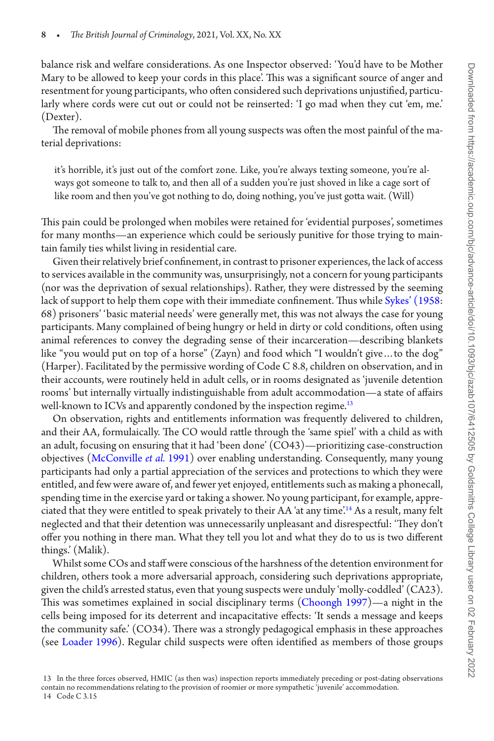balance risk and welfare considerations. As one Inspector observed: 'You'd have to be Mother Mary to be allowed to keep your cords in this place'. This was a significant source of anger and resentment for young participants, who often considered such deprivations unjustified, particularly where cords were cut out or could not be reinserted: 'I go mad when they cut 'em, me.' (Dexter).

The removal of mobile phones from all young suspects was often the most painful of the material deprivations:

it's horrible, it's just out of the comfort zone. Like, you're always texting someone, you're always got someone to talk to, and then all of a sudden you're just shoved in like a cage sort of like room and then you've got nothing to do, doing nothing, you've just gotta wait. (Will)

This pain could be prolonged when mobiles were retained for 'evidential purposes', sometimes for many months—an experience which could be seriously punitive for those trying to maintain family ties whilst living in residential care.

Given their relatively brief confinement, in contrast to prisoner experiences, the lack of access to services available in the community was, unsurprisingly, not a concern for young participants (nor was the deprivation of sexual relationships). Rather, they were distressed by the seeming lack of support to help them cope with their immediate confinement. Thus while [Sykes' \(1958](#page-16-8): 68) prisoners' 'basic material needs' were generally met, this was not always the case for young participants. Many complained of being hungry or held in dirty or cold conditions, often using animal references to convey the degrading sense of their incarceration—describing blankets like "you would put on top of a horse" (Zayn) and food which "I wouldn't give...to the dog" (Harper). Facilitated by the permissive wording of Code C 8.8, children on observation, and in their accounts, were routinely held in adult cells, or in rooms designated as 'juvenile detention rooms' but internally virtually indistinguishable from adult accommodation—a state of affairs well-known to ICVs and apparently condoned by the inspection regime.<sup>[13](#page-7-0)</sup>

On observation, rights and entitlements information was frequently delivered to children, and their AA, formulaically. The CO would rattle through the 'same spiel' with a child as with an adult, focusing on ensuring that it had 'been done' (CO43)—prioritizing case-construction objectives ([McConville](#page-15-14) *et al.* 1991) over enabling understanding. Consequently, many young participants had only a partial appreciation of the services and protections to which they were entitled, and few were aware of, and fewer yet enjoyed, entitlements such as making a phonecall, spending time in the exercise yard or taking a shower. No young participant, for example, appreciated that they were entitled to speak privately to their AA 'at any time'.[14](#page-7-1) As a result, many felt neglected and that their detention was unnecessarily unpleasant and disrespectful: 'They don't offer you nothing in there man. What they tell you lot and what they do to us is two different things.' (Malik).

Whilst some COs and staff were conscious of the harshness of the detention environment for children, others took a more adversarial approach, considering such deprivations appropriate, given the child's arrested status, even that young suspects were unduly 'molly-coddled' (CA23). This was sometimes explained in social disciplinary terms [\(Choongh 1997](#page-14-4))—a night in the cells being imposed for its deterrent and incapacitative effects: 'It sends a message and keeps the community safe.' (CO34). There was a strongly pedagogical emphasis in these approaches (see [Loader 1996](#page-15-15)). Regular child suspects were often identified as members of those groups

<span id="page-7-1"></span><span id="page-7-0"></span><sup>13</sup> In the three forces observed, HMIC (as then was) inspection reports immediately preceding or post-dating observations contain no recommendations relating to the provision of roomier or more sympathetic 'juvenile' accommodation. 14 Code C 3.15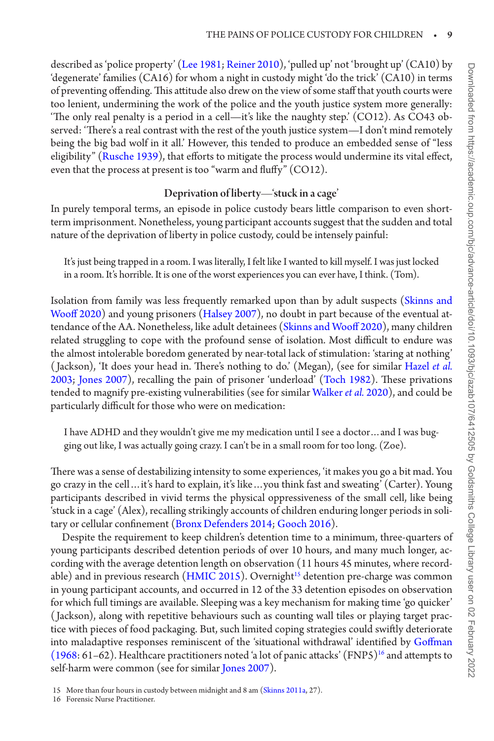described as 'police property' [\(Lee 1981](#page-15-16); [Reiner 2010](#page-16-12)), 'pulled up' not 'brought up' (CA10) by 'degenerate' families (CA16) for whom a night in custody might 'do the trick' (CA10) in terms of preventing offending. This attitude also drew on the view of some staff that youth courts were too lenient, undermining the work of the police and the youth justice system more generally: 'The only real penalty is a period in a cell—it's like the naughty step.' (CO12). As CO43 observed: 'There's a real contrast with the rest of the youth justice system—I don't mind remotely being the big bad wolf in it all.' However, this tended to produce an embedded sense of "less eligibility" ([Rusche 1939\)](#page-16-13), that efforts to mitigate the process would undermine its vital effect, even that the process at present is too "warm and fluffy" (CO12).

## Deprivation of liberty—'stuck in a cage'

In purely temporal terms, an episode in police custody bears little comparison to even shortterm imprisonment. Nonetheless, young participant accounts suggest that the sudden and total nature of the deprivation of liberty in police custody, could be intensely painful:

It's just being trapped in a room. I was literally, I felt like I wanted to kill myself. I was just locked in a room. It's horrible. It is one of the worst experiences you can ever have, I think. (Tom).

Isolation from family was less frequently remarked upon than by adult suspects [\(Skinns and](#page-16-3) [Wooff 2020\)](#page-16-3) and young prisoners ([Halsey 2007\)](#page-15-7), no doubt in part because of the eventual attendance of the AA. Nonetheless, like adult detainees ([Skinns and Wooff 2020](#page-16-3)), many children related struggling to cope with the profound sense of isolation. Most difficult to endure was the almost intolerable boredom generated by near-total lack of stimulation: 'staring at nothing' ( Jackson), 'It does your head in. There's nothing to do.' (Megan), (see for similar [Hazel](#page-15-17) *et al.* [2003;](#page-15-17) [Jones 2007](#page-15-4)), recalling the pain of prisoner 'underload' [\(Toch 1982](#page-16-14)). These privations tended to magnify pre-existing vulnerabilities (see for similar [Walker](#page-16-7) *et al.* 2020), and could be particularly difficult for those who were on medication:

I have ADHD and they wouldn't give me my medication until I see a doctor…and I was bugging out like, I was actually going crazy. I can't be in a small room for too long. (Zoe).

There was a sense of destabilizing intensity to some experiences, 'it makes you go a bit mad. You go crazy in the cell…it's hard to explain, it's like…you think fast and sweating' (Carter). Young participants described in vivid terms the physical oppressiveness of the small cell, like being 'stuck in a cage' (Alex), recalling strikingly accounts of children enduring longer periods in solitary or cellular confinement [\(Bronx Defenders 2014;](#page-14-18) [Gooch 2016](#page-14-13)).

Despite the requirement to keep children's detention time to a minimum, three-quarters of young participants described detention periods of over 10 hours, and many much longer, according with the average detention length on observation (11 hours 45 minutes, where record-able) and in previous research [\(HMIC 2015](#page-15-2)). Overnight<sup>[15](#page-8-0)</sup> detention pre-charge was common in young participant accounts, and occurred in 12 of the 33 detention episodes on observation for which full timings are available. Sleeping was a key mechanism for making time 'go quicker' ( Jackson), along with repetitive behaviours such as counting wall tiles or playing target practice with pieces of food packaging. But, such limited coping strategies could swiftly deteriorate into maladaptive responses reminiscent of the 'situational withdrawal' identified by [Goffman](#page-14-17)  $(1968:61–62)$  $(1968:61–62)$ . Healthcare practitioners noted 'a lot of panic attacks'  $(FNP5)^{16}$  $(FNP5)^{16}$  $(FNP5)^{16}$  and attempts to self-harm were common (see for similar [Jones 2007](#page-15-4)).

<span id="page-8-1"></span>16 Forensic Nurse Practitioner.

<span id="page-8-0"></span><sup>15</sup> More than four hours in custody between midnight and 8 am [\(Skinns 2011a](#page-16-11), 27).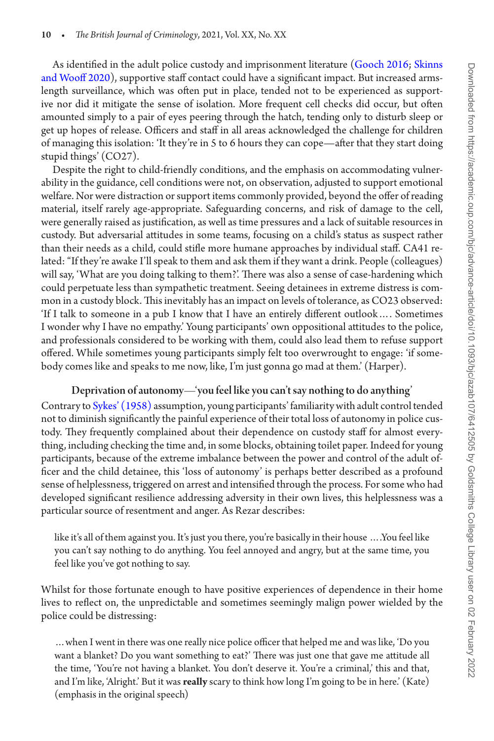As identified in the adult police custody and imprisonment literature ([Gooch 2016](#page-14-13); [Skinns](#page-16-3)  [and Wooff 2020\)](#page-16-3), supportive staff contact could have a significant impact. But increased armslength surveillance, which was often put in place, tended not to be experienced as supportive nor did it mitigate the sense of isolation. More frequent cell checks did occur, but often amounted simply to a pair of eyes peering through the hatch, tending only to disturb sleep or get up hopes of release. Officers and staff in all areas acknowledged the challenge for children of managing this isolation: 'It they're in 5 to 6 hours they can cope—after that they start doing stupid things' (CO27).

Despite the right to child-friendly conditions, and the emphasis on accommodating vulnerability in the guidance, cell conditions were not, on observation, adjusted to support emotional welfare. Nor were distraction or support items commonly provided, beyond the offer of reading material, itself rarely age-appropriate. Safeguarding concerns, and risk of damage to the cell, were generally raised as justification, as well as time pressures and a lack of suitable resources in custody. But adversarial attitudes in some teams, focusing on a child's status as suspect rather than their needs as a child, could stifle more humane approaches by individual staff. CA41 related: "If they're awake I'll speak to them and ask them if they want a drink. People (colleagues) will say, 'What are you doing talking to them?'. There was also a sense of case-hardening which could perpetuate less than sympathetic treatment. Seeing detainees in extreme distress is common in a custody block. This inevitably has an impact on levels of tolerance, as CO23 observed: 'If I talk to someone in a pub I know that I have an entirely different outlook…. Sometimes I wonder why I have no empathy.' Young participants' own oppositional attitudes to the police, and professionals considered to be working with them, could also lead them to refuse support offered. While sometimes young participants simply felt too overwrought to engage: 'if somebody comes like and speaks to me now, like, I'm just gonna go mad at them.' (Harper).

## Deprivation of autonomy—'you feel like you can't say nothing to do anything'

Contrary to [Sykes' \(1958\)](#page-16-8) assumption, young participants' familiarity with adult control tended not to diminish significantly the painful experience of their total loss of autonomy in police custody. They frequently complained about their dependence on custody staff for almost everything, including checking the time and, in some blocks, obtaining toilet paper. Indeed for young participants, because of the extreme imbalance between the power and control of the adult officer and the child detainee, this 'loss of autonomy' is perhaps better described as a profound sense of helplessness, triggered on arrest and intensified through the process. For some who had developed significant resilience addressing adversity in their own lives, this helplessness was a particular source of resentment and anger. As Rezar describes:

like it's all of them against you. It's just you there, you're basically in their house ….You feel like you can't say nothing to do anything. You feel annoyed and angry, but at the same time, you feel like you've got nothing to say.

Whilst for those fortunate enough to have positive experiences of dependence in their home lives to reflect on, the unpredictable and sometimes seemingly malign power wielded by the police could be distressing:

…when I went in there was one really nice police officer that helped me and was like, 'Do you want a blanket? Do you want something to eat?' There was just one that gave me attitude all the time, 'You're not having a blanket. You don't deserve it. You're a criminal,' this and that, and I'm like, 'Alright.' But it was **really** scary to think how long I'm going to be in here.' (Kate) (emphasis in the original speech)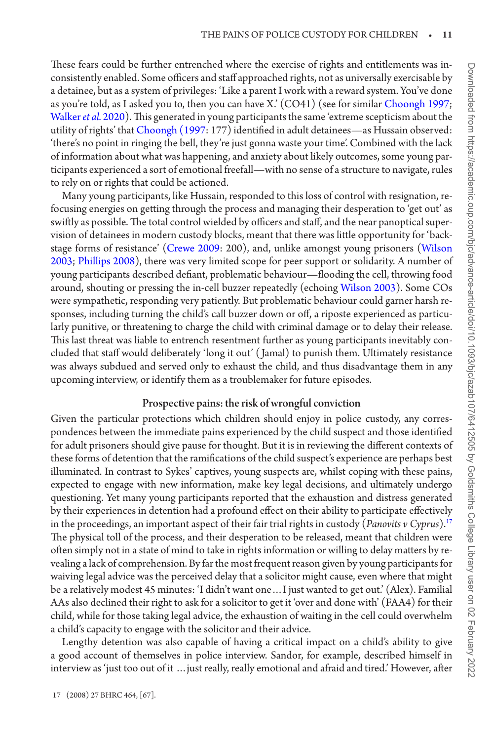These fears could be further entrenched where the exercise of rights and entitlements was inconsistently enabled. Some officers and staff approached rights, not as universally exercisable by a detainee, but as a system of privileges: 'Like a parent I work with a reward system. You've done as you're told, as I asked you to, then you can have X.' (CO41) (see for similar [Choongh 1997;](#page-14-4) [Walker](#page-16-7) *et al.* 2020). This generated in young participants the same 'extreme scepticism about the utility of rights' that [Choongh \(1997](#page-14-4): 177) identified in adult detainees—as Hussain observed: 'there's no point in ringing the bell, they're just gonna waste your time'. Combined with the lack of information about what was happening, and anxiety about likely outcomes, some young participants experienced a sort of emotional freefall—with no sense of a structure to navigate, rules to rely on or rights that could be actioned.

Many young participants, like Hussain, responded to this loss of control with resignation, refocusing energies on getting through the process and managing their desperation to 'get out' as swiftly as possible. The total control wielded by officers and staff, and the near panoptical supervision of detainees in modern custody blocks, meant that there was little opportunity for 'backstage forms of resistance' [\(Crewe 2009:](#page-14-10) 200), and, unlike amongst young prisoners ([Wilson](#page-16-15) [2003;](#page-16-15) [Phillips 2008\)](#page-16-16), there was very limited scope for peer support or solidarity. A number of young participants described defiant, problematic behaviour—flooding the cell, throwing food around, shouting or pressing the in-cell buzzer repeatedly (echoing [Wilson 2003\)](#page-16-15). Some COs were sympathetic, responding very patiently. But problematic behaviour could garner harsh responses, including turning the child's call buzzer down or off, a riposte experienced as particularly punitive, or threatening to charge the child with criminal damage or to delay their release. This last threat was liable to entrench resentment further as young participants inevitably concluded that staff would deliberately 'long it out' ( Jamal) to punish them. Ultimately resistance was always subdued and served only to exhaust the child, and thus disadvantage them in any upcoming interview, or identify them as a troublemaker for future episodes.

## Prospective pains: the risk of wrongful conviction

Given the particular protections which children should enjoy in police custody, any correspondences between the immediate pains experienced by the child suspect and those identified for adult prisoners should give pause for thought. But it is in reviewing the different contexts of these forms of detention that the ramifications of the child suspect's experience are perhaps best illuminated. In contrast to Sykes' captives, young suspects are, whilst coping with these pains, expected to engage with new information, make key legal decisions, and ultimately undergo questioning. Yet many young participants reported that the exhaustion and distress generated by their experiences in detention had a profound effect on their ability to participate effectively in the proceedings, an important aspect of their fair trial rights in custody (*Panovits v Cyprus*).[17](#page-10-0) The physical toll of the process, and their desperation to be released, meant that children were often simply not in a state of mind to take in rights information or willing to delay matters by revealing a lack of comprehension. By far the most frequent reason given by young participants for waiving legal advice was the perceived delay that a solicitor might cause, even where that might be a relatively modest 45 minutes: 'I didn't want one…I just wanted to get out.' (Alex). Familial AAs also declined their right to ask for a solicitor to get it 'over and done with' (FAA4) for their child, while for those taking legal advice, the exhaustion of waiting in the cell could overwhelm a child's capacity to engage with the solicitor and their advice.

<span id="page-10-0"></span>Lengthy detention was also capable of having a critical impact on a child's ability to give a good account of themselves in police interview. Sandor, for example, described himself in interview as 'just too out of it …just really, really emotional and afraid and tired.' However, after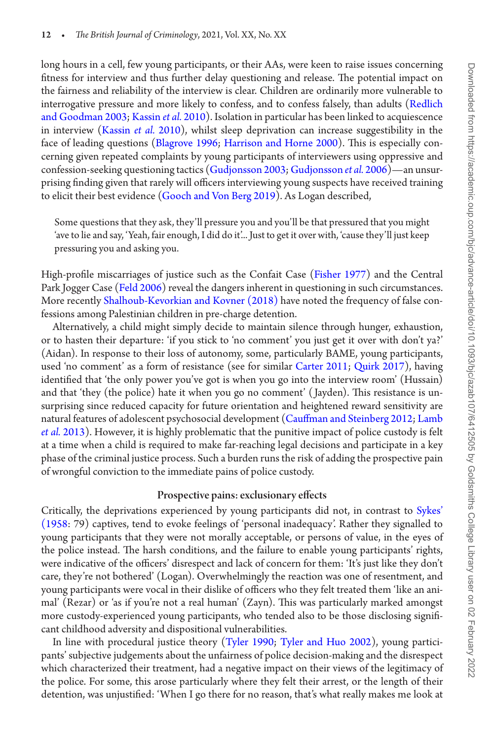long hours in a cell, few young participants, or their AAs, were keen to raise issues concerning fitness for interview and thus further delay questioning and release. The potential impact on the fairness and reliability of the interview is clear. Children are ordinarily more vulnerable to interrogative pressure and more likely to confess, and to confess falsely, than adults [\(Redlich](#page-16-17)  [and Goodman 2003;](#page-16-17) [Kassin](#page-15-18) *et al.* 2010). Isolation in particular has been linked to acquiescence in interview [\(Kassin](#page-15-18) *et al.* 2010), whilst sleep deprivation can increase suggestibility in the face of leading questions [\(Blagrove 1996](#page-14-19); [Harrison and Horne 2000\)](#page-15-19). This is especially concerning given repeated complaints by young participants of interviewers using oppressive and confession-seeking questioning tactics [\(Gudjonsson 2003](#page-15-20); [Gudjonsson](#page-15-21) *et al.* 2006)—an unsurprising finding given that rarely will officers interviewing young suspects have received training to elicit their best evidence [\(Gooch and Von Berg 2019\)](#page-15-22). As Logan described,

Some questions that they ask, they'll pressure you and you'll be that pressured that you might 'ave to lie and say, 'Yeah, fair enough, I did do it'... Just to get it over with, 'cause they'll just keep pressuring you and asking you.

High-profile miscarriages of justice such as the Confait Case [\(Fisher 1977\)](#page-14-20) and the Central Park Jogger Case ([Feld 2006\)](#page-14-21) reveal the dangers inherent in questioning in such circumstances. More recently [Shalhoub-Kevorkian and Kovner \(2018\)](#page-16-6) have noted the frequency of false confessions among Palestinian children in pre-charge detention.

Alternatively, a child might simply decide to maintain silence through hunger, exhaustion, or to hasten their departure: 'if you stick to 'no comment' you just get it over with don't ya?' (Aidan). In response to their loss of autonomy, some, particularly BAME, young participants, used 'no comment' as a form of resistance (see for similar [Carter 2011;](#page-14-22) [Quirk 2017](#page-16-18)), having identified that 'the only power you've got is when you go into the interview room' (Hussain) and that 'they (the police) hate it when you go no comment' ( Jayden). This resistance is unsurprising since reduced capacity for future orientation and heightened reward sensitivity are natural features of adolescent psychosocial development [\(Cauffman and Steinberg 2012;](#page-14-23) [Lamb](#page-15-23)  *et al.* [2013](#page-15-23)). However, it is highly problematic that the punitive impact of police custody is felt at a time when a child is required to make far-reaching legal decisions and participate in a key phase of the criminal justice process. Such a burden runs the risk of adding the prospective pain of wrongful conviction to the immediate pains of police custody.

#### Prospective pains: exclusionary effects

Critically, the deprivations experienced by young participants did not, in contrast to [Sykes'](#page-16-8)  [\(1958:](#page-16-8) 79) captives, tend to evoke feelings of 'personal inadequacy'. Rather they signalled to young participants that they were not morally acceptable, or persons of value, in the eyes of the police instead. The harsh conditions, and the failure to enable young participants' rights, were indicative of the officers' disrespect and lack of concern for them: 'It's just like they don't care, they're not bothered' (Logan). Overwhelmingly the reaction was one of resentment, and young participants were vocal in their dislike of officers who they felt treated them 'like an animal' (Rezar) or 'as if you're not a real human' (Zayn). This was particularly marked amongst more custody-experienced young participants, who tended also to be those disclosing significant childhood adversity and dispositional vulnerabilities.

In line with procedural justice theory [\(Tyler 1990](#page-16-19); [Tyler and Huo 2002\)](#page-16-20), young participants' subjective judgements about the unfairness of police decision-making and the disrespect which characterized their treatment, had a negative impact on their views of the legitimacy of the police. For some, this arose particularly where they felt their arrest, or the length of their detention, was unjustified: 'When I go there for no reason, that's what really makes me look at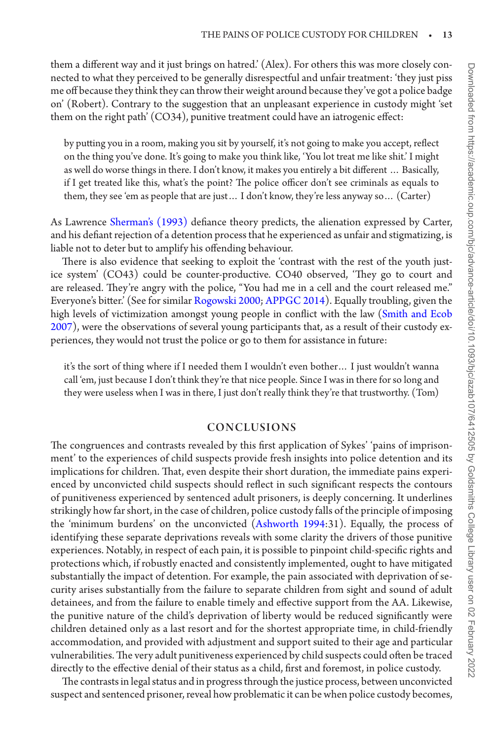them a different way and it just brings on hatred.' (Alex). For others this was more closely connected to what they perceived to be generally disrespectful and unfair treatment: 'they just piss me off because they think they can throw their weight around because they've got a police badge on' (Robert). Contrary to the suggestion that an unpleasant experience in custody might 'set them on the right path' (CO34), punitive treatment could have an iatrogenic effect:

by putting you in a room, making you sit by yourself, it's not going to make you accept, reflect on the thing you've done. It's going to make you think like, 'You lot treat me like shit.' I might as well do worse things in there. I don't know, it makes you entirely a bit different … Basically, if I get treated like this, what's the point? The police officer don't see criminals as equals to them, they see 'em as people that are just… I don't know, they're less anyway so… (Carter)

As Lawrence [Sherman's \(1993\)](#page-16-21) defiance theory predicts, the alienation expressed by Carter, and his defiant rejection of a detention process that he experienced as unfair and stigmatizing, is liable not to deter but to amplify his offending behaviour.

There is also evidence that seeking to exploit the 'contrast with the rest of the youth justice system' (CO43) could be counter-productive. CO40 observed, 'They go to court and are released. They're angry with the police, "You had me in a cell and the court released me." Everyone's bitter.' (See for similar [Rogowski 2000](#page-16-22); [APPGC 2014](#page-14-0)). Equally troubling, given the high levels of victimization amongst young people in conflict with the law [\(Smith and Ecob](#page-16-23) [2007\)](#page-16-23), were the observations of several young participants that, as a result of their custody experiences, they would not trust the police or go to them for assistance in future:

it's the sort of thing where if I needed them I wouldn't even bother… I just wouldn't wanna call 'em, just because I don't think they're that nice people. Since I was in there for so long and they were useless when I was in there, I just don't really think they're that trustworthy. (Tom)

## CONCLUSIONS

The congruences and contrasts revealed by this first application of Sykes' 'pains of imprisonment' to the experiences of child suspects provide fresh insights into police detention and its implications for children. That, even despite their short duration, the immediate pains experienced by unconvicted child suspects should reflect in such significant respects the contours of punitiveness experienced by sentenced adult prisoners, is deeply concerning. It underlines strikingly how far short, in the case of children, police custody falls of the principle of imposing the 'minimum burdens' on the unconvicted [\(Ashworth 1994](#page-14-3):31). Equally, the process of identifying these separate deprivations reveals with some clarity the drivers of those punitive experiences. Notably, in respect of each pain, it is possible to pinpoint child-specific rights and protections which, if robustly enacted and consistently implemented, ought to have mitigated substantially the impact of detention. For example, the pain associated with deprivation of security arises substantially from the failure to separate children from sight and sound of adult detainees, and from the failure to enable timely and effective support from the AA. Likewise, the punitive nature of the child's deprivation of liberty would be reduced significantly were children detained only as a last resort and for the shortest appropriate time, in child-friendly accommodation, and provided with adjustment and support suited to their age and particular vulnerabilities. The very adult punitiveness experienced by child suspects could often be traced directly to the effective denial of their status as a child, first and foremost, in police custody.

The contrasts in legal status and in progress through the justice process, between unconvicted suspect and sentenced prisoner, reveal how problematic it can be when police custody becomes,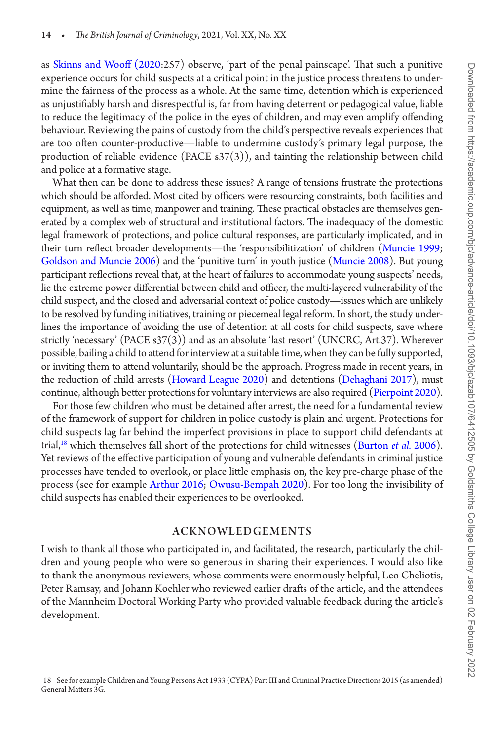as [Skinns and Wooff \(2020:](#page-16-3)257) observe, 'part of the penal painscape'. That such a punitive experience occurs for child suspects at a critical point in the justice process threatens to undermine the fairness of the process as a whole. At the same time, detention which is experienced as unjustifiably harsh and disrespectful is, far from having deterrent or pedagogical value, liable to reduce the legitimacy of the police in the eyes of children, and may even amplify offending behaviour. Reviewing the pains of custody from the child's perspective reveals experiences that are too often counter-productive—liable to undermine custody's primary legal purpose, the production of reliable evidence (PACE s37(3)), and tainting the relationship between child and police at a formative stage.

What then can be done to address these issues? A range of tensions frustrate the protections which should be afforded. Most cited by officers were resourcing constraints, both facilities and equipment, as well as time, manpower and training. These practical obstacles are themselves generated by a complex web of structural and institutional factors. The inadequacy of the domestic legal framework of protections, and police cultural responses, are particularly implicated, and in their turn reflect broader developments—the 'responsibilitization' of children ([Muncie 1999](#page-15-24); [Goldson and Muncie 2006](#page-14-24)) and the 'punitive turn' in youth justice [\(Muncie 2008\)](#page-15-25). But young participant reflections reveal that, at the heart of failures to accommodate young suspects' needs, lie the extreme power differential between child and officer, the multi-layered vulnerability of the child suspect, and the closed and adversarial context of police custody—issues which are unlikely to be resolved by funding initiatives, training or piecemeal legal reform. In short, the study underlines the importance of avoiding the use of detention at all costs for child suspects, save where strictly 'necessary' (PACE s37(3)) and as an absolute 'last resort' (UNCRC, Art.37). Wherever possible, bailing a child to attend for interview at a suitable time, when they can be fully supported, or inviting them to attend voluntarily, should be the approach. Progress made in recent years, in the reduction of child arrests [\(Howard League 2020](#page-15-0)) and detentions [\(Dehaghani 2017](#page-14-25)), must continue, although better protections for voluntary interviews are also required [\(Pierpoint 2020\)](#page-16-24).

For those few children who must be detained after arrest, the need for a fundamental review of the framework of support for children in police custody is plain and urgent. Protections for child suspects lag far behind the imperfect provisions in place to support child defendants at trial[,18](#page-13-0) which themselves fall short of the protections for child witnesses ([Burton](#page-14-26) *et al.* 2006). Yet reviews of the effective participation of young and vulnerable defendants in criminal justice processes have tended to overlook, or place little emphasis on, the key pre-charge phase of the process (see for example [Arthur 2016](#page-14-27); [Owusu-Bempah 2020](#page-15-26)). For too long the invisibility of child suspects has enabled their experiences to be overlooked.

## ACKNOWLEDGEMENTS

<span id="page-13-0"></span>I wish to thank all those who participated in, and facilitated, the research, particularly the children and young people who were so generous in sharing their experiences. I would also like to thank the anonymous reviewers, whose comments were enormously helpful, Leo Cheliotis, Peter Ramsay, and Johann Koehler who reviewed earlier drafts of the article, and the attendees of the Mannheim Doctoral Working Party who provided valuable feedback during the article's development.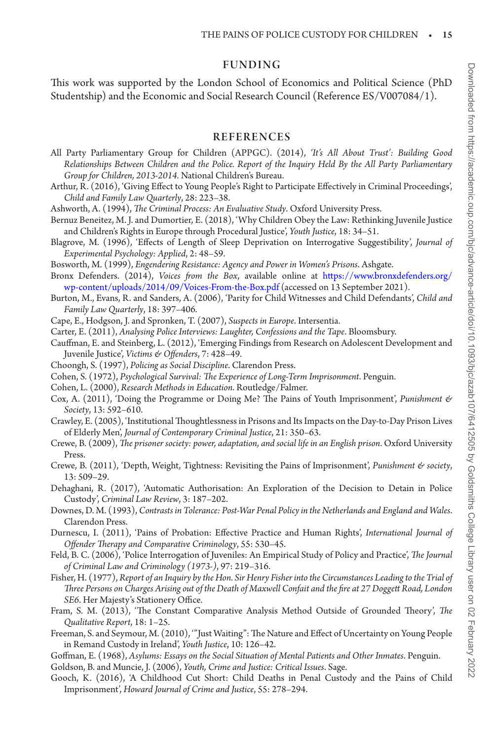#### FUNDING

This work was supported by the London School of Economics and Political Science (PhD Studentship) and the Economic and Social Research Council (Reference ES/V007084/1).

### REFERENCES

- <span id="page-14-0"></span>All Party Parliamentary Group for Children (APPGC). (2014), *'It's All About Trust': Building Good Relationships Between Children and the Police. Report of the Inquiry Held By the All Party Parliamentary Group for Children, 2013-2014.* National Children's Bureau.
- <span id="page-14-27"></span>Arthur, R. (2016), 'Giving Effect to Young People's Right to Participate Effectively in Criminal Proceedings', *Child and Family Law Quarterly*, 28: 223–38.
- <span id="page-14-3"></span>Ashworth, A. (1994), *The Criminal Process: An Evaluative Study*. Oxford University Press.
- <span id="page-14-1"></span>Bernuz Beneitez, M. J. and Dumortier, E. (2018), 'Why Children Obey the Law: Rethinking Juvenile Justice and Children's Rights in Europe through Procedural Justice', *Youth Justice*, 18: 34–51.
- <span id="page-14-19"></span>Blagrove, M. (1996), 'Effects of Length of Sleep Deprivation on Interrogative Suggestibility', *Journal of Experimental Psychology: Applied*, 2: 48–59.
- <span id="page-14-6"></span>Bosworth, M. (1999), *Engendering Resistance: Agency and Power in Women's Prisons*. Ashgate.
- <span id="page-14-18"></span>Bronx Defenders. (2014), *Voices from the Box*, available online at [https://www.bronxdefenders.org/](https://www.bronxdefenders.org/wp-content/uploads/2014/09/Voices-From-the-Box.pdf) [wp-content/uploads/2014/09/Voices-From-the-Box.pdf](https://www.bronxdefenders.org/wp-content/uploads/2014/09/Voices-From-the-Box.pdf) (accessed on 13 September 2021).
- <span id="page-14-26"></span>Burton, M., Evans, R. and Sanders, A. (2006), 'Parity for Child Witnesses and Child Defendants', *Child and Family Law Quarterly*, 18: 397–406.
- <span id="page-14-2"></span>Cape, E., Hodgson, J. and Spronken, T. (2007), *Suspects in Europe*. Intersentia.
- <span id="page-14-22"></span>Carter, E. (2011), *Analysing Police Interviews: Laughter, Confessions and the Tape*. Bloomsbury.
- <span id="page-14-23"></span>Cauffman, E. and Steinberg, L. (2012), 'Emerging Findings from Research on Adolescent Development and Juvenile Justice', *Victims & Offenders*, 7: 428–49.
- <span id="page-14-4"></span>Choongh, S. (1997), *Policing as Social Discipline*. Clarendon Press.
- <span id="page-14-11"></span>Cohen, S. (1972), *Psychological Survival: The Experience of Long-Term Imprisonment*. Penguin.
- <span id="page-14-15"></span>Cohen, L. (2000), *Research Methods in Education*. Routledge/Falmer.
- <span id="page-14-12"></span>Cox, A. (2011), 'Doing the Programme or Doing Me? The Pains of Youth Imprisonment', *Punishment & Society*, 13: 592–610.
- <span id="page-14-8"></span>Crawley, E. (2005), 'Institutional Thoughtlessness in Prisons and Its Impacts on the Day-to-Day Prison Lives of Elderly Men', *Journal of Contemporary Criminal Justice*, 21: 350–63.
- <span id="page-14-10"></span>Crewe, B. (2009), *The prisoner society: power, adaptation, and social life in an English prison*. Oxford University Press.
- <span id="page-14-9"></span>Crewe, B. (2011), 'Depth, Weight, Tightness: Revisiting the Pains of Imprisonment', *Punishment & society*, 13: 509–29.
- <span id="page-14-25"></span>Dehaghani, R. (2017), 'Automatic Authorisation: An Exploration of the Decision to Detain in Police Custody', *Criminal Law Review*, 3: 187–202.
- <span id="page-14-5"></span>Downes, D. M. (1993), *Contrasts in Tolerance: Post-War Penal Policy in the Netherlands and England and Wales*. Clarendon Press.
- <span id="page-14-7"></span>Durnescu, I. (2011), 'Pains of Probation: Effective Practice and Human Rights', *International Journal of Offender Therapy and Comparative Criminology*, 55: 530–45.
- <span id="page-14-21"></span>Feld, B. C. (2006), 'Police Interrogation of Juveniles: An Empirical Study of Policy and Practice', *The Journal of Criminal Law and Criminology (1973-)*, 97: 219–316.
- <span id="page-14-20"></span>Fisher, H. (1977), *Report of an Inquiry by the Hon. Sir Henry Fisher into the Circumstances Leading to the Trial of Three Persons on Charges Arising out of the Death of Maxwell Confait and the fire at 27 Doggett Road, London SE6*. Her Majesty's Stationery Office.
- <span id="page-14-16"></span>Fram, S. M. (2013), 'The Constant Comparative Analysis Method Outside of Grounded Theory', *The Qualitative Report*, 18: 1–25.
- <span id="page-14-14"></span>Freeman, S. and Seymour, M. (2010), '"Just Waiting": The Nature and Effect of Uncertainty on Young People in Remand Custody in Ireland', *Youth Justice*, 10: 126–42.
- <span id="page-14-17"></span>Goffman, E. (1968), *Asylums: Essays on the Social Situation of Mental Patients and Other Inmates*. Penguin.

<span id="page-14-24"></span>Goldson, B. and Muncie, J. (2006), *Youth, Crime and Justice: Critical Issues*. Sage.

<span id="page-14-13"></span>Gooch, K. (2016), 'A Childhood Cut Short: Child Deaths in Penal Custody and the Pains of Child Imprisonment', *Howard Journal of Crime and Justice*, 55: 278–294.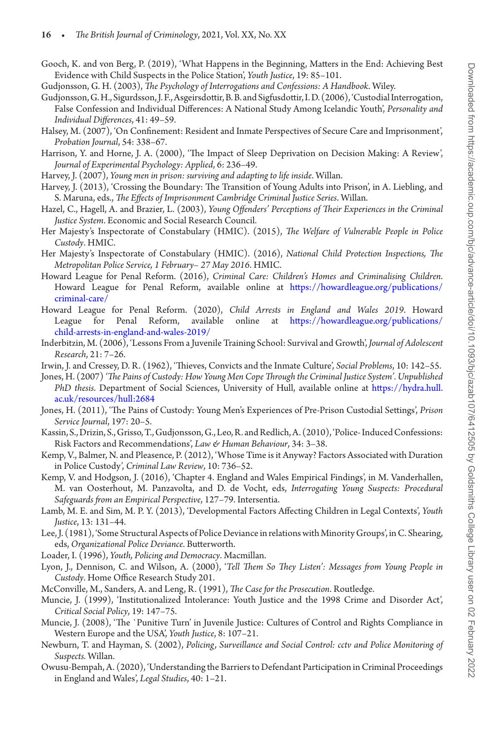<span id="page-15-22"></span>Gooch, K. and von Berg, P. (2019), 'What Happens in the Beginning, Matters in the End: Achieving Best Evidence with Child Suspects in the Police Station', *Youth Justice*, 19: 85–101.

<span id="page-15-20"></span>Gudjonsson, G. H. (2003), *The Psychology of Interrogations and Confessions: A Handbook*. Wiley.

- <span id="page-15-21"></span>Gudjonsson, G. H., Sigurdsson, J. F., Asgeirsdottir, B. B. and Sigfusdottir, I. D. (2006), 'Custodial Interrogation, False Confession and Individual Differences: A National Study Among Icelandic Youth', *Personality and Individual Differences*, 41: 49–59.
- <span id="page-15-7"></span>Halsey, M. (2007), 'On Confinement: Resident and Inmate Perspectives of Secure Care and Imprisonment', *Probation Journal*, 54: 338–67.
- <span id="page-15-19"></span>Harrison, Y. and Horne, J. A. (2000), 'The Impact of Sleep Deprivation on Decision Making: A Review', *Journal of Experimental Psychology: Applied*, 6: 236–49.
- <span id="page-15-9"></span>Harvey, J. (2007), *Young men in prison: surviving and adapting to life inside*. Willan.
- <span id="page-15-10"></span>Harvey, J. (2013), 'Crossing the Boundary: The Transition of Young Adults into Prison', in A. Liebling, and S. Maruna, eds., *The Effects of Imprisonment Cambridge Criminal Justice Series*. Willan.
- <span id="page-15-17"></span>Hazel, C., Hagell, A. and Brazier, L. (2003), *Young Offenders' Perceptions of Their Experiences in the Criminal Justice System*. Economic and Social Research Council.
- <span id="page-15-2"></span>Her Majesty's Inspectorate of Constabulary (HMIC). (2015), *The Welfare of Vulnerable People in Police Custody*. HMIC.
- <span id="page-15-13"></span>Her Majesty's Inspectorate of Constabulary (HMIC). (2016), *National Child Protection Inspections, The Metropolitan Police Service, 1 February– 27 May 2016*. HMIC.
- Howard League for Penal Reform. (2016), *Criminal Care: Children's Homes and Criminalising Children*. Howard League for Penal Reform, available online at [https://howardleague.org/publications/](https://howardleague.org/publications/criminal-care/) [criminal-care/](https://howardleague.org/publications/criminal-care/)
- <span id="page-15-0"></span>Howard League for Penal Reform. (2020), *Child Arrests in England and Wales 2019*. Howard League for Penal Reform, available online at [https://howardleague.org/publications/](https://howardleague.org/publications/child-arrests-in-england-and-wales-2019/) [child-arrests-in-england-and-wales-2019/](https://howardleague.org/publications/child-arrests-in-england-and-wales-2019/)
- <span id="page-15-8"></span>Inderbitzin, M. (2006), 'Lessons From a Juvenile Training School: Survival and Growth', *Journal of Adolescent Research*, 21: 7–26.
- <span id="page-15-6"></span>Irwin, J. and Cressey, D. R. (1962), 'Thieves, Convicts and the Inmate Culture', *Social Problems*, 10: 142–55.
- <span id="page-15-4"></span>Jones, H. (2007) *'The Pains of Custody: How Young Men Cope Through the Criminal Justice System'.Unpublished PhD thesis*. Department of Social Sciences, University of Hull, available online at [https://hydra.hull.](https://hydra.hull.ac.uk/resources/hull:2684) [ac.uk/resources/hull:2684](https://hydra.hull.ac.uk/resources/hull:2684)
- <span id="page-15-5"></span>Jones, H. (2011), 'The Pains of Custody: Young Men's Experiences of Pre-Prison Custodial Settings', *Prison Service Journal*, 197: 20–5.
- <span id="page-15-18"></span>Kassin, S., Drizin, S., Grisso, T., Gudjonsson, G., Leo, R. and Redlich, A. (2010), 'Police- Induced Confessions: Risk Factors and Recommendations', *Law & Human Behaviour*, 34: 3–38.
- <span id="page-15-11"></span>Kemp, V., Balmer, N. and Pleasence, P. (2012), 'Whose Time is it Anyway? Factors Associated with Duration in Police Custody', *Criminal Law Review*, 10: 736–52.
- <span id="page-15-3"></span>Kemp, V. and Hodgson, J. (2016), 'Chapter 4. England and Wales Empirical Findings', in M. Vanderhallen, M. van Oosterhout, M. Panzavolta, and D. de Vocht, eds, *Interrogating Young Suspects: Procedural Safeguards from an Empirical Perspective*, 127–79. Intersentia.
- <span id="page-15-23"></span>Lamb, M. E. and Sim, M. P. Y. (2013), 'Developmental Factors Affecting Children in Legal Contexts', *Youth Justice*, 13: 131–44.
- <span id="page-15-16"></span>Lee, J. (1981), 'Some Structural Aspects of Police Deviance in relations with Minority Groups', in C. Shearing, eds, *Organizational Police Deviance*. Butterworth.
- <span id="page-15-15"></span>Loader, I. (1996), *Youth, Policing and Democracy*. Macmillan.
- <span id="page-15-12"></span>Lyon, J., Dennison, C. and Wilson, A. (2000), '*Tell Them So They Listen': Messages from Young People in Custody*. Home Office Research Study 201.
- <span id="page-15-14"></span>McConville, M., Sanders, A. and Leng, R. (1991), *The Case for the Prosecution*. Routledge.
- <span id="page-15-24"></span>Muncie, J. (1999), 'Institutionalized Intolerance: Youth Justice and the 1998 Crime and Disorder Act', *Critical Social Policy*, 19: 147–75.
- <span id="page-15-25"></span>Muncie, J. (2008), 'The `Punitive Turn' in Juvenile Justice: Cultures of Control and Rights Compliance in Western Europe and the USA', *Youth Justice*, 8: 107–21.
- <span id="page-15-1"></span>Newburn, T. and Hayman, S. (2002), *Policing, Surveillance and Social Control: cctv and Police Monitoring of Suspects.* Willan.
- <span id="page-15-26"></span>Owusu-Bempah, A. (2020), 'Understanding the Barriers to Defendant Participation in Criminal Proceedings in England and Wales', *Legal Studies*, 40: 1–21.